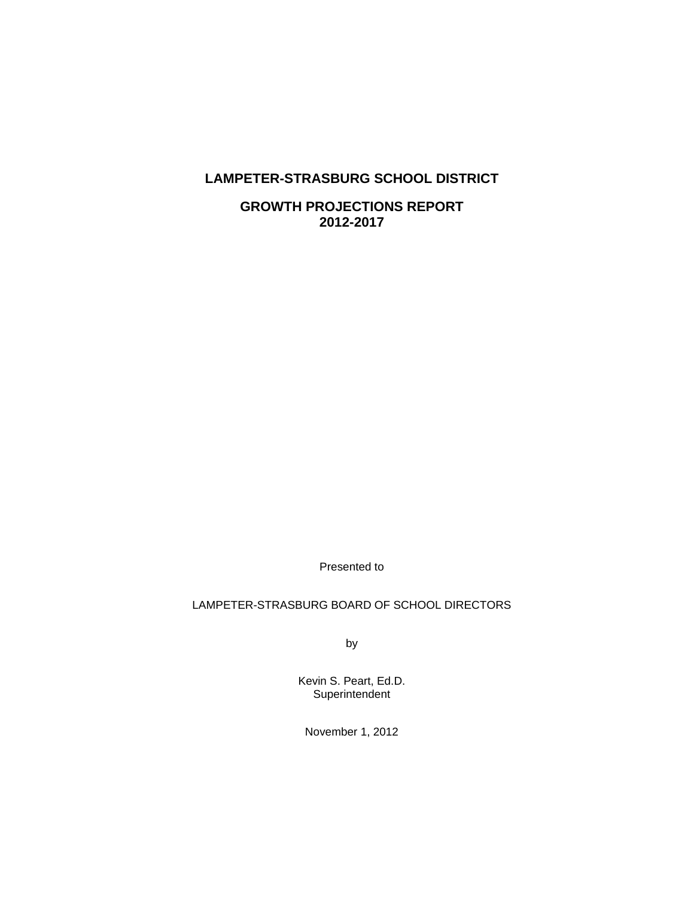# **LAMPETER-STRASBURG SCHOOL DISTRICT**

**GROWTH PROJECTIONS REPORT 2012-2017** 

Presented to

# LAMPETER-STRASBURG BOARD OF SCHOOL DIRECTORS

by

Kevin S. Peart, Ed.D. **Superintendent** 

November 1, 2012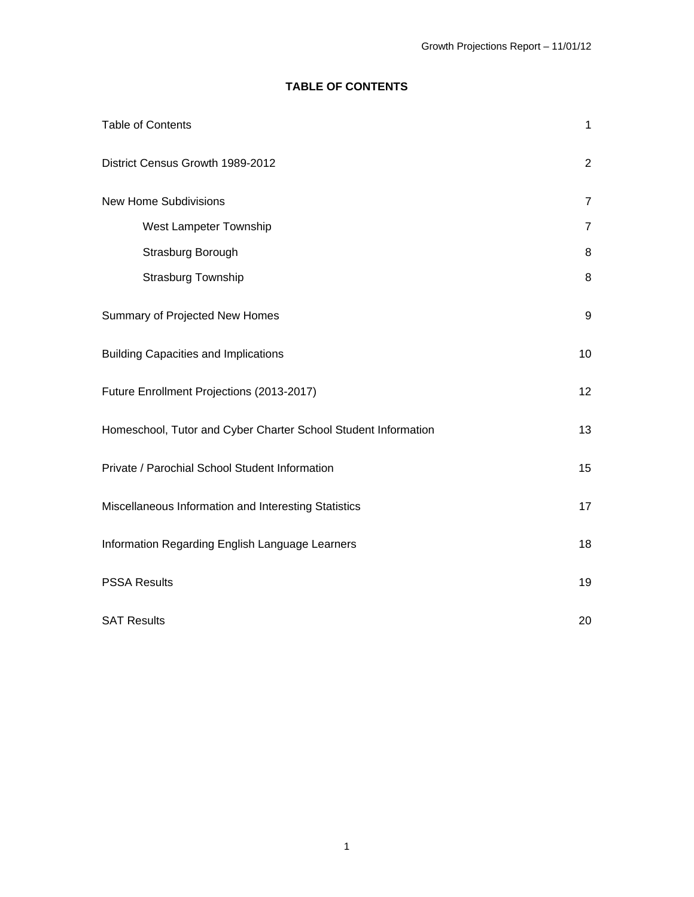# **TABLE OF CONTENTS**

| <b>Table of Contents</b>                                       | $\mathbf{1}$   |
|----------------------------------------------------------------|----------------|
| District Census Growth 1989-2012                               | $\overline{2}$ |
| New Home Subdivisions                                          | $\overline{7}$ |
| West Lampeter Township                                         | $\overline{7}$ |
| Strasburg Borough                                              | 8              |
| Strasburg Township                                             | $\, 8$         |
| Summary of Projected New Homes                                 | 9              |
| <b>Building Capacities and Implications</b>                    | 10             |
| Future Enrollment Projections (2013-2017)                      | 12             |
| Homeschool, Tutor and Cyber Charter School Student Information | 13             |
| Private / Parochial School Student Information                 | 15             |
| Miscellaneous Information and Interesting Statistics           | 17             |
| Information Regarding English Language Learners                | 18             |
| <b>PSSA Results</b>                                            | 19             |
| <b>SAT Results</b>                                             | 20             |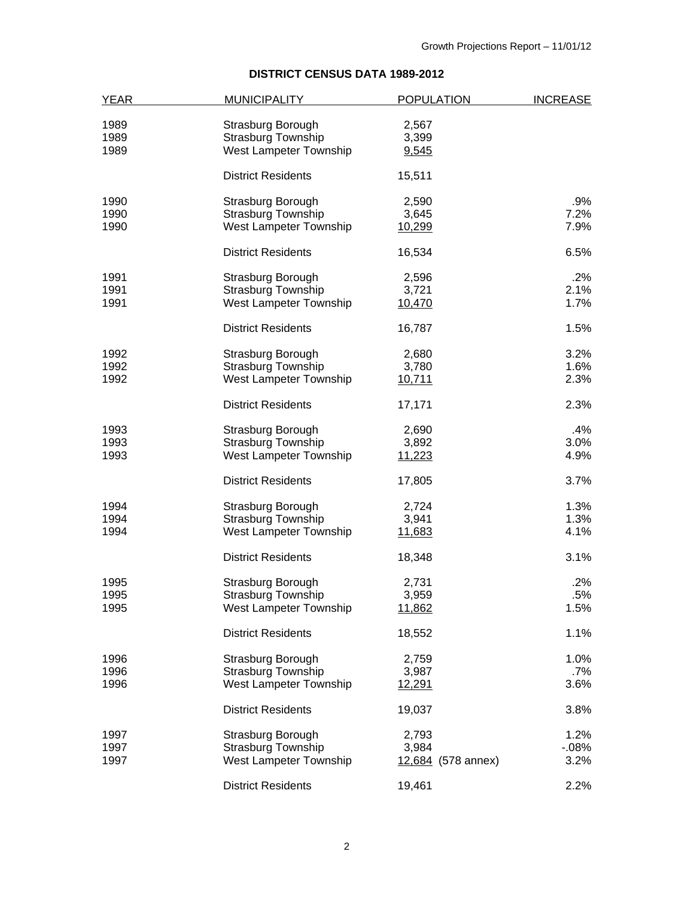# **DISTRICT CENSUS DATA 1989-2012**

| <b>YEAR</b> | <b>MUNICIPALITY</b>       | <b>POPULATION</b>  | <b>INCREASE</b> |
|-------------|---------------------------|--------------------|-----------------|
|             |                           |                    |                 |
| 1989        | Strasburg Borough         | 2,567              |                 |
| 1989        | <b>Strasburg Township</b> | 3,399              |                 |
| 1989        | West Lampeter Township    | 9,545              |                 |
|             | <b>District Residents</b> | 15,511             |                 |
| 1990        | Strasburg Borough         | 2,590              | .9%             |
| 1990        | <b>Strasburg Township</b> | 3,645              | 7.2%            |
| 1990        | West Lampeter Township    | 10,299             | 7.9%            |
|             | <b>District Residents</b> | 16,534             | 6.5%            |
| 1991        | Strasburg Borough         | 2,596              | $.2\%$          |
| 1991        | <b>Strasburg Township</b> | 3,721              | 2.1%            |
| 1991        | West Lampeter Township    | 10,470             | 1.7%            |
|             | <b>District Residents</b> | 16,787             | 1.5%            |
| 1992        | Strasburg Borough         | 2,680              | 3.2%            |
| 1992        | <b>Strasburg Township</b> | 3,780              | 1.6%            |
| 1992        | West Lampeter Township    | 10,711             | 2.3%            |
|             | <b>District Residents</b> | 17,171             | 2.3%            |
| 1993        | Strasburg Borough         | 2,690              | .4%             |
| 1993        | <b>Strasburg Township</b> | 3,892              | 3.0%            |
| 1993        | West Lampeter Township    | 11,223             | 4.9%            |
|             | <b>District Residents</b> | 17,805             | 3.7%            |
| 1994        | Strasburg Borough         | 2,724              | 1.3%            |
| 1994        | <b>Strasburg Township</b> | 3,941              | 1.3%            |
| 1994        | West Lampeter Township    | 11,683             | 4.1%            |
|             | <b>District Residents</b> | 18,348             | 3.1%            |
| 1995        | Strasburg Borough         | 2,731              | .2%             |
| 1995        | <b>Strasburg Township</b> | 3,959              | .5%             |
| 1995        | West Lampeter Township    | 11,862             | 1.5%            |
|             | <b>District Residents</b> | 18,552             | 1.1%            |
| 1996        | Strasburg Borough         | 2,759              | 1.0%            |
| 1996        | <b>Strasburg Township</b> | 3,987              | .7%             |
| 1996        | West Lampeter Township    | 12,291             | 3.6%            |
|             | <b>District Residents</b> | 19,037             | 3.8%            |
| 1997        | Strasburg Borough         | 2,793              | 1.2%            |
| 1997        | <b>Strasburg Township</b> | 3,984              | $-08\%$         |
| 1997        | West Lampeter Township    | 12,684 (578 annex) | 3.2%            |
|             | <b>District Residents</b> | 19,461             | 2.2%            |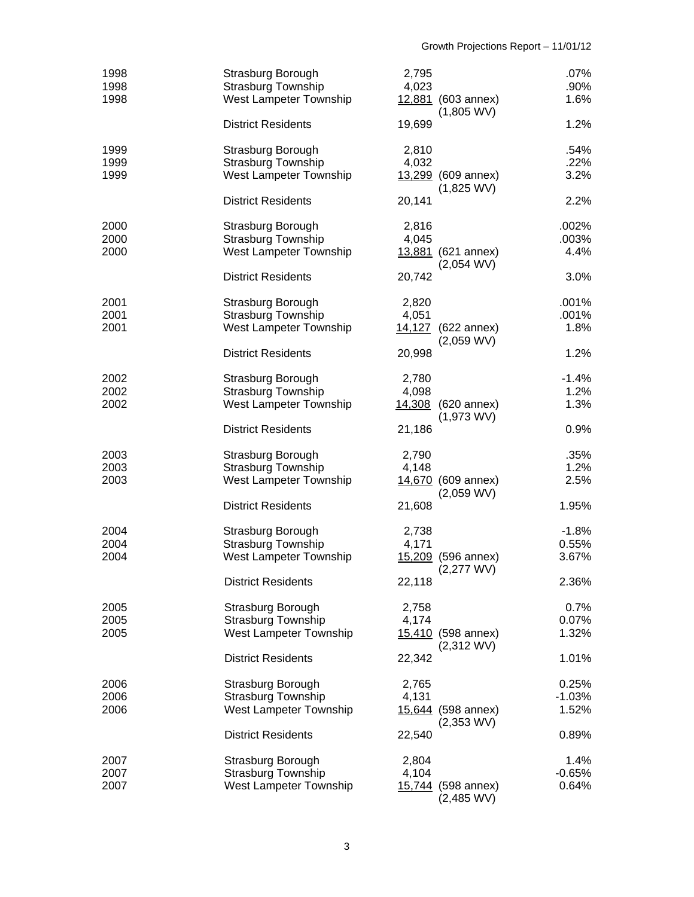| 1998<br>1998<br>1998 | Strasburg Borough<br>Strasburg Township<br>West Lampeter Township        | 2,795<br>4,023 | 12,881 (603 annex)<br>$(1,805$ WV)         | $.07\%$<br>.90%<br>1.6%    |
|----------------------|--------------------------------------------------------------------------|----------------|--------------------------------------------|----------------------------|
|                      | <b>District Residents</b>                                                | 19,699         |                                            | 1.2%                       |
| 1999<br>1999<br>1999 | Strasburg Borough<br><b>Strasburg Township</b><br>West Lampeter Township | 2,810<br>4,032 | 13,299 (609 annex)<br>$(1,825$ WV)         | .54%<br>.22%<br>3.2%       |
|                      | <b>District Residents</b>                                                | 20,141         |                                            | 2.2%                       |
| 2000<br>2000<br>2000 | Strasburg Borough<br><b>Strasburg Township</b><br>West Lampeter Township | 2,816<br>4,045 | 13,881 (621 annex)<br>$(2,054$ WV)         | .002%<br>.003%<br>4.4%     |
|                      | <b>District Residents</b>                                                | 20,742         |                                            | 3.0%                       |
| 2001<br>2001<br>2001 | Strasburg Borough<br><b>Strasburg Township</b><br>West Lampeter Township | 2,820<br>4,051 | 14,127 (622 annex)<br>$(2,059 \text{ WV})$ | .001%<br>.001%<br>1.8%     |
|                      | <b>District Residents</b>                                                | 20,998         |                                            | 1.2%                       |
| 2002<br>2002<br>2002 | Strasburg Borough<br>Strasburg Township<br>West Lampeter Township        | 2,780<br>4,098 | 14,308 (620 annex)<br>$(1,973$ WV)         | $-1.4%$<br>1.2%<br>1.3%    |
|                      | <b>District Residents</b>                                                | 21,186         |                                            | 0.9%                       |
| 2003<br>2003<br>2003 | Strasburg Borough<br><b>Strasburg Township</b><br>West Lampeter Township | 2,790<br>4,148 | 14,670 (609 annex)<br>$(2,059$ WV)         | .35%<br>1.2%<br>2.5%       |
|                      | <b>District Residents</b>                                                | 21,608         |                                            | 1.95%                      |
| 2004<br>2004<br>2004 | Strasburg Borough<br><b>Strasburg Township</b><br>West Lampeter Township | 2,738<br>4,171 | 15,209 (596 annex)<br>$(2,277$ WV)         | $-1.8%$<br>0.55%<br>3.67%  |
|                      | <b>District Residents</b>                                                | 22,118         |                                            | 2.36%                      |
| 2005<br>2005<br>2005 | Strasburg Borough<br><b>Strasburg Township</b><br>West Lampeter Township | 2,758<br>4,174 | 15,410 (598 annex)<br>$(2,312$ WV)         | 0.7%<br>0.07%<br>1.32%     |
|                      | <b>District Residents</b>                                                | 22,342         |                                            | 1.01%                      |
| 2006<br>2006<br>2006 | Strasburg Borough<br><b>Strasburg Township</b><br>West Lampeter Township | 2,765<br>4,131 | 15,644 (598 annex)<br>$(2,353$ WV)         | 0.25%<br>$-1.03%$<br>1.52% |
|                      | <b>District Residents</b>                                                | 22,540         |                                            | 0.89%                      |
| 2007<br>2007<br>2007 | Strasburg Borough<br><b>Strasburg Township</b><br>West Lampeter Township | 2,804<br>4,104 | 15,744 (598 annex)<br>$(2,485$ WV)         | 1.4%<br>$-0.65%$<br>0.64%  |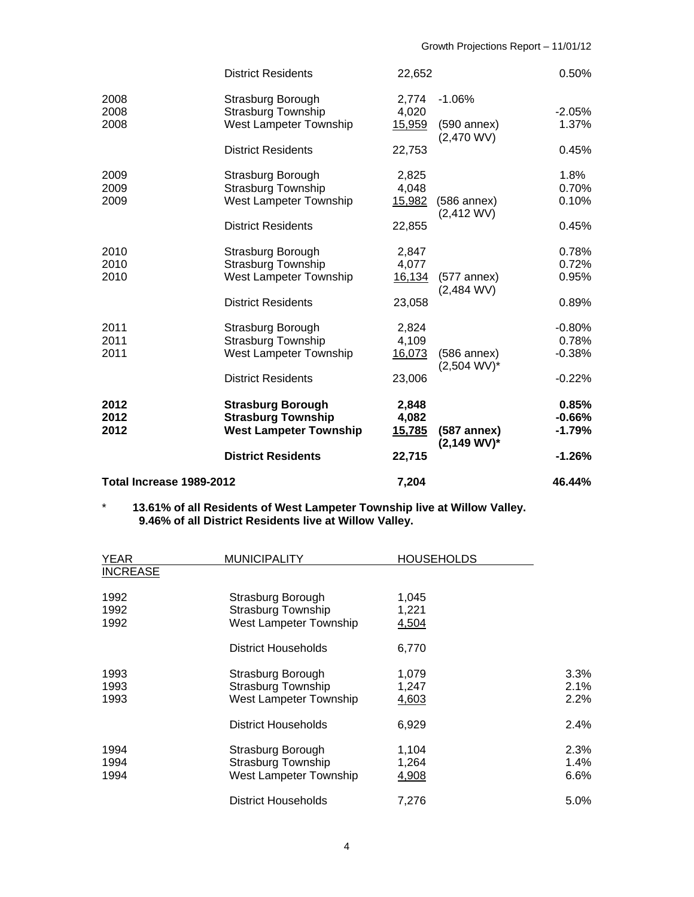| Total Increase 1989-2012 |                               | 7,204  |                                            | 46.44%   |
|--------------------------|-------------------------------|--------|--------------------------------------------|----------|
|                          | <b>District Residents</b>     | 22,715 |                                            | $-1.26%$ |
| 2012                     | <b>West Lampeter Township</b> | 15,785 | $(587$ annex)<br>$(2,149 WV)^*$            | $-1.79%$ |
| 2012                     | <b>Strasburg Township</b>     | 4,082  |                                            | $-0.66%$ |
| 2012                     | <b>Strasburg Borough</b>      | 2,848  |                                            | 0.85%    |
|                          | <b>District Residents</b>     | 23,006 |                                            | $-0.22%$ |
| 2011                     | West Lampeter Township        | 16,073 | $(586$ annex $)$<br>$(2,504 \text{ WV})^*$ | $-0.38%$ |
| 2011                     | <b>Strasburg Township</b>     | 4,109  |                                            | 0.78%    |
| 2011                     | Strasburg Borough             | 2,824  |                                            | $-0.80%$ |
|                          | <b>District Residents</b>     | 23,058 |                                            | 0.89%    |
| 2010                     | West Lampeter Township        | 16,134 | $(577$ annex)<br>$(2,484$ WV)              | 0.95%    |
| 2010                     | <b>Strasburg Township</b>     | 4,077  |                                            | 0.72%    |
| 2010                     | Strasburg Borough             | 2,847  |                                            | 0.78%    |
|                          | <b>District Residents</b>     | 22,855 |                                            | 0.45%    |
| 2009                     | West Lampeter Township        | 15,982 | $(586$ annex)<br>$(2,412$ WV)              | 0.10%    |
| 2009                     | <b>Strasburg Township</b>     | 4,048  |                                            | 0.70%    |
| 2009                     | Strasburg Borough             | 2,825  |                                            | 1.8%     |
|                          | <b>District Residents</b>     | 22,753 | $(2,470$ WV)                               | 0.45%    |
| 2008                     | West Lampeter Township        | 15,959 | $(590$ annex)                              | 1.37%    |
| 2008                     | <b>Strasburg Township</b>     | 4,020  |                                            | $-2.05%$ |
| 2008                     | Strasburg Borough             | 2,774  | $-1.06%$                                   |          |
|                          | <b>District Residents</b>     | 22,652 |                                            | 0.50%    |

#### \* **13.61% of all Residents of West Lampeter Township live at Willow Valley. 9.46% of all District Residents live at Willow Valley.**

| <b>YEAR</b>          | <b>MUNICIPALITY</b>                                                      | <b>HOUSEHOLDS</b>       |                      |
|----------------------|--------------------------------------------------------------------------|-------------------------|----------------------|
| <b>INCREASE</b>      |                                                                          |                         |                      |
| 1992<br>1992<br>1992 | Strasburg Borough<br>Strasburg Township<br>West Lampeter Township        | 1,045<br>1,221<br>4,504 |                      |
|                      | District Households                                                      | 6,770                   |                      |
| 1993<br>1993<br>1993 | Strasburg Borough<br><b>Strasburg Township</b><br>West Lampeter Township | 1,079<br>1,247<br>4,603 | 3.3%<br>2.1%<br>2.2% |
|                      | District Households                                                      | 6,929                   | 2.4%                 |
| 1994<br>1994<br>1994 | Strasburg Borough<br><b>Strasburg Township</b><br>West Lampeter Township | 1,104<br>1,264<br>4,908 | 2.3%<br>1.4%<br>6.6% |
|                      | <b>District Households</b>                                               | 7.276                   | $5.0\%$              |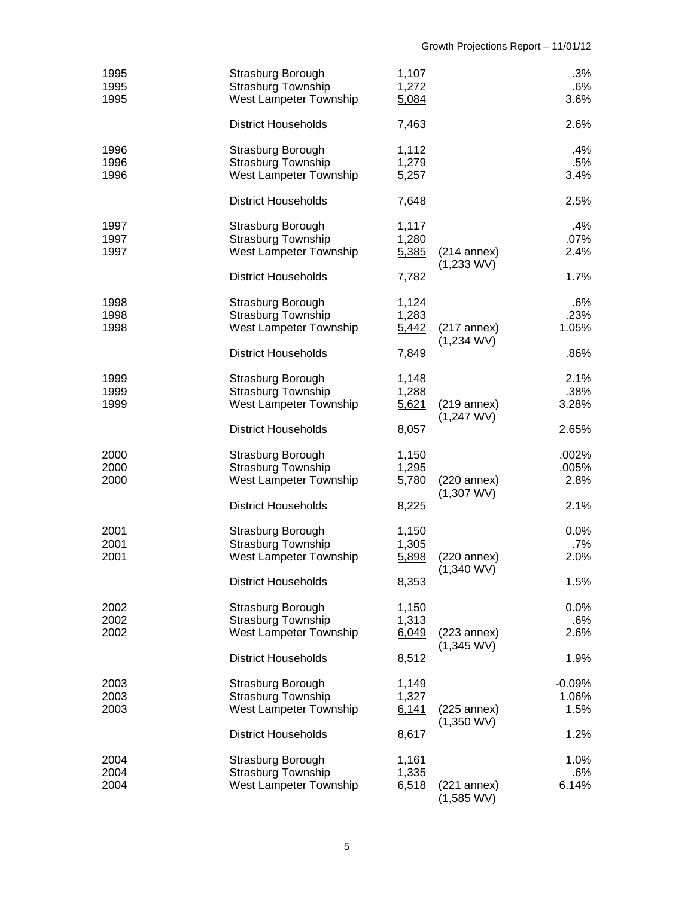| 1995<br>1995<br>1995 | Strasburg Borough<br><b>Strasburg Township</b><br>West Lampeter Township | 1,107<br>1,272<br>5,084 | .3%<br>.6%<br>3.6%                                           |
|----------------------|--------------------------------------------------------------------------|-------------------------|--------------------------------------------------------------|
|                      | <b>District Households</b>                                               | 7,463                   | 2.6%                                                         |
| 1996<br>1996<br>1996 | Strasburg Borough<br>Strasburg Township<br>West Lampeter Township        | 1,112<br>1,279<br>5,257 | .4%<br>.5%<br>3.4%                                           |
|                      | <b>District Households</b>                                               | 7,648                   | 2.5%                                                         |
| 1997<br>1997<br>1997 | Strasburg Borough<br><b>Strasburg Township</b><br>West Lampeter Township | 1,117<br>1,280<br>5,385 | .4%<br>$.07\%$<br>$(214$ annex)<br>2.4%<br>$(1,233$ WV)      |
|                      | <b>District Households</b>                                               | 7,782                   | 1.7%                                                         |
| 1998<br>1998<br>1998 | Strasburg Borough<br><b>Strasburg Township</b><br>West Lampeter Township | 1,124<br>1,283<br>5,442 | .6%<br>.23%<br>1.05%<br>$(217$ annex)<br>$(1,234$ WV)        |
|                      | <b>District Households</b>                                               | 7,849                   | .86%                                                         |
| 1999<br>1999<br>1999 | Strasburg Borough<br><b>Strasburg Township</b><br>West Lampeter Township | 1,148<br>1,288<br>5,621 | 2.1%<br>.38%<br>3.28%<br>$(219$ annex)<br>$(1,247$ WV)       |
|                      | <b>District Households</b>                                               | 8,057                   | 2.65%                                                        |
| 2000<br>2000<br>2000 | Strasburg Borough<br>Strasburg Township<br>West Lampeter Township        | 1,150<br>1,295<br>5,780 | .002%<br>.005%<br>2.8%<br>$(220$ annex)<br>$(1,307$ WV)      |
|                      | <b>District Households</b>                                               | 8,225                   | 2.1%                                                         |
| 2001<br>2001<br>2001 | Strasburg Borough<br><b>Strasburg Township</b><br>West Lampeter Township | 1,150<br>1,305<br>5,898 | 0.0%<br>.7%<br>2.0%<br>(220 annex)<br>$(1,340 \, \text{WV})$ |
|                      | <b>District Households</b>                                               | 8,353                   | 1.5%                                                         |
| 2002<br>2002<br>2002 | Strasburg Borough<br><b>Strasburg Township</b><br>West Lampeter Township | 1,150<br>1,313<br>6,049 | 0.0%<br>.6%<br>2.6%<br>$(223$ annex)<br>$(1,345$ WV)         |
|                      | <b>District Households</b>                                               | 8,512                   | 1.9%                                                         |
| 2003<br>2003<br>2003 | Strasburg Borough<br><b>Strasburg Township</b><br>West Lampeter Township | 1,149<br>1,327<br>6,141 | $-0.09%$<br>1.06%<br>1.5%<br>$(225$ annex)<br>$(1,350$ WV)   |
|                      | <b>District Households</b>                                               | 8,617                   | 1.2%                                                         |
| 2004<br>2004<br>2004 | Strasburg Borough<br><b>Strasburg Township</b><br>West Lampeter Township | 1,161<br>1,335<br>6,518 | 1.0%<br>.6%<br>6.14%<br>$(221$ annex)<br>$(1,585$ WV)        |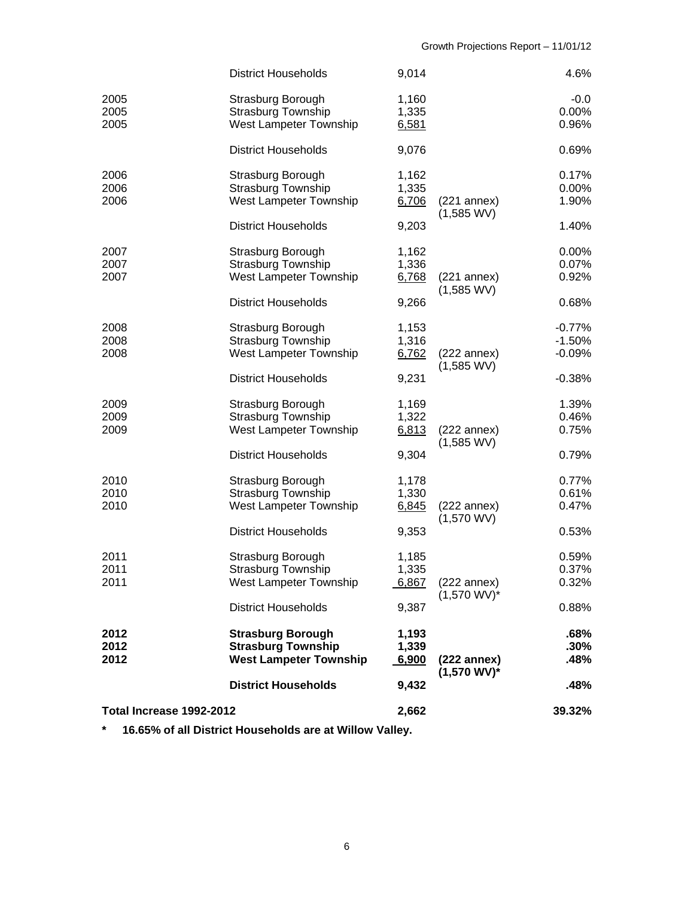|                          | <b>District Households</b>                                                             | 9,014                   |                                         | 4.6%                             |
|--------------------------|----------------------------------------------------------------------------------------|-------------------------|-----------------------------------------|----------------------------------|
| 2005<br>2005<br>2005     | Strasburg Borough<br>Strasburg Township<br>West Lampeter Township                      | 1,160<br>1,335<br>6,581 |                                         | $-0.0$<br>$0.00\%$<br>0.96%      |
|                          | <b>District Households</b>                                                             | 9,076                   |                                         | 0.69%                            |
| 2006<br>2006<br>2006     | Strasburg Borough<br><b>Strasburg Township</b><br>West Lampeter Township               | 1,162<br>1,335<br>6,706 | $(221$ annex)<br>$(1,585$ WV)           | 0.17%<br>$0.00\%$<br>1.90%       |
|                          | <b>District Households</b>                                                             | 9,203                   |                                         | 1.40%                            |
| 2007<br>2007<br>2007     | Strasburg Borough<br><b>Strasburg Township</b><br>West Lampeter Township               | 1,162<br>1,336<br>6,768 | $(221$ annex)<br>$(1,585$ WV)           | 0.00%<br>0.07%<br>0.92%          |
|                          | <b>District Households</b>                                                             | 9,266                   |                                         | 0.68%                            |
| 2008<br>2008<br>2008     | Strasburg Borough<br><b>Strasburg Township</b><br>West Lampeter Township               | 1,153<br>1,316<br>6,762 | $(222$ annex)<br>$(1,585$ WV)           | $-0.77%$<br>$-1.50%$<br>$-0.09%$ |
|                          | <b>District Households</b>                                                             | 9,231                   |                                         | $-0.38%$                         |
| 2009<br>2009<br>2009     | Strasburg Borough<br><b>Strasburg Township</b><br>West Lampeter Township               | 1,169<br>1,322<br>6,813 | $(222$ annex)<br>$(1,585$ WV)           | 1.39%<br>0.46%<br>0.75%          |
|                          | <b>District Households</b>                                                             | 9,304                   |                                         | 0.79%                            |
| 2010<br>2010<br>2010     | Strasburg Borough<br><b>Strasburg Township</b><br>West Lampeter Township               | 1,178<br>1,330<br>6,845 | $(222$ annex)<br>$(1,570$ WV)           | 0.77%<br>0.61%<br>0.47%          |
|                          | <b>District Households</b>                                                             | 9,353                   |                                         | 0.53%                            |
| 2011<br>2011<br>2011     | Strasburg Borough<br><b>Strasburg Township</b><br><b>West Lampeter Township</b>        | 1,185<br>1.335<br>6,867 | $(222$ annex)<br>$(1,570 \text{ WV})^*$ | 0.59%<br>0.37%<br>0.32%          |
|                          | <b>District Households</b>                                                             | 9,387                   |                                         | 0.88%                            |
| 2012<br>2012<br>2012     | <b>Strasburg Borough</b><br><b>Strasburg Township</b><br><b>West Lampeter Township</b> | 1,193<br>1,339<br>6,900 | $(222$ annex)<br>$(1,570 WV)^*$         | .68%<br>.30%<br>.48%             |
|                          | <b>District Households</b>                                                             | 9,432                   |                                         | .48%                             |
| Total Increase 1992-2012 |                                                                                        | 2,662                   |                                         | 39.32%                           |

**\* 16.65% of all District Households are at Willow Valley.**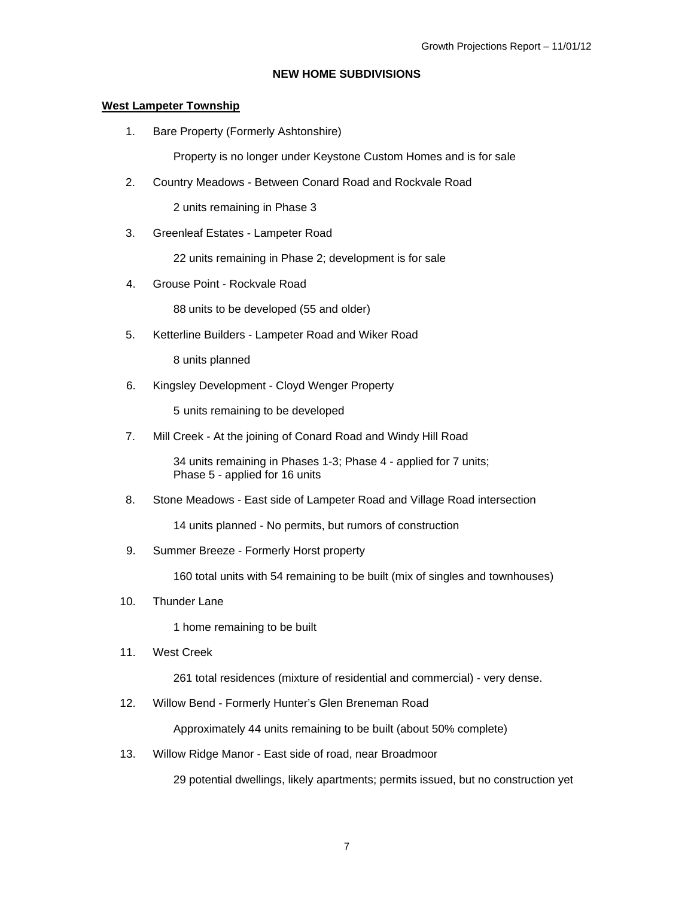#### **NEW HOME SUBDIVISIONS**

#### **West Lampeter Township**

1. Bare Property (Formerly Ashtonshire)

Property is no longer under Keystone Custom Homes and is for sale

2. Country Meadows - Between Conard Road and Rockvale Road

2 units remaining in Phase 3

3. Greenleaf Estates - Lampeter Road

22 units remaining in Phase 2; development is for sale

4. Grouse Point - Rockvale Road

88 units to be developed (55 and older)

5. Ketterline Builders - Lampeter Road and Wiker Road

8 units planned

6. Kingsley Development - Cloyd Wenger Property

5 units remaining to be developed

7. Mill Creek - At the joining of Conard Road and Windy Hill Road

 34 units remaining in Phases 1-3; Phase 4 - applied for 7 units; Phase 5 - applied for 16 units

8. Stone Meadows - East side of Lampeter Road and Village Road intersection

14 units planned - No permits, but rumors of construction

9. Summer Breeze - Formerly Horst property

160 total units with 54 remaining to be built (mix of singles and townhouses)

10. Thunder Lane

1 home remaining to be built

11. West Creek

261 total residences (mixture of residential and commercial) - very dense.

12. Willow Bend - Formerly Hunter's Glen Breneman Road

Approximately 44 units remaining to be built (about 50% complete)

13. Willow Ridge Manor - East side of road, near Broadmoor

29 potential dwellings, likely apartments; permits issued, but no construction yet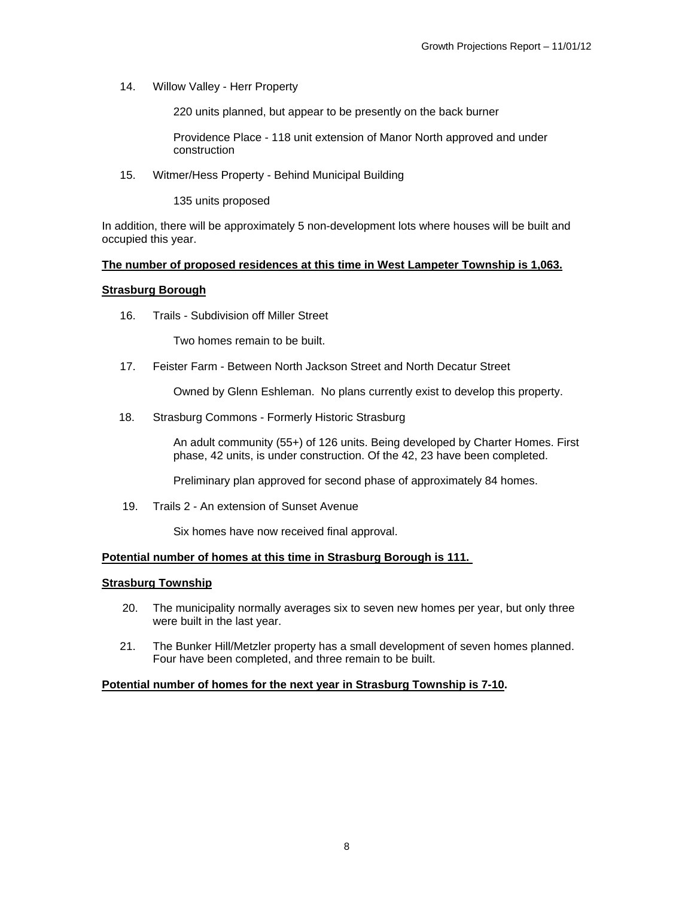14. Willow Valley - Herr Property

220 units planned, but appear to be presently on the back burner

Providence Place - 118 unit extension of Manor North approved and under construction

15. Witmer/Hess Property - Behind Municipal Building

135 units proposed

In addition, there will be approximately 5 non-development lots where houses will be built and occupied this year.

#### **The number of proposed residences at this time in West Lampeter Township is 1,063.**

#### **Strasburg Borough**

16. Trails - Subdivision off Miller Street

Two homes remain to be built.

17. Feister Farm - Between North Jackson Street and North Decatur Street

Owned by Glenn Eshleman. No plans currently exist to develop this property.

18. Strasburg Commons - Formerly Historic Strasburg

An adult community (55+) of 126 units. Being developed by Charter Homes. First phase, 42 units, is under construction. Of the 42, 23 have been completed.

Preliminary plan approved for second phase of approximately 84 homes.

19. Trails 2 - An extension of Sunset Avenue

Six homes have now received final approval.

#### **Potential number of homes at this time in Strasburg Borough is 111.**

#### **Strasburg Township**

- 20. The municipality normally averages six to seven new homes per year, but only three were built in the last year.
- 21. The Bunker Hill/Metzler property has a small development of seven homes planned. Four have been completed, and three remain to be built.

#### **Potential number of homes for the next year in Strasburg Township is 7-10.**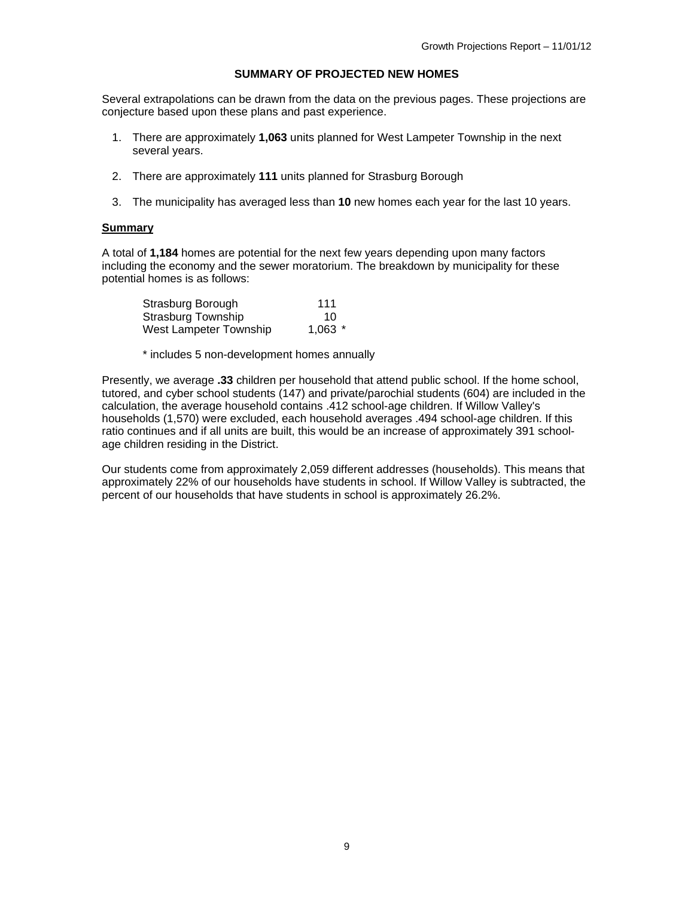#### **SUMMARY OF PROJECTED NEW HOMES**

Several extrapolations can be drawn from the data on the previous pages. These projections are conjecture based upon these plans and past experience.

- 1. There are approximately **1,063** units planned for West Lampeter Township in the next several years.
- 2. There are approximately **111** units planned for Strasburg Borough
- 3. The municipality has averaged less than **10** new homes each year for the last 10 years.

#### **Summary**

A total of **1,184** homes are potential for the next few years depending upon many factors including the economy and the sewer moratorium. The breakdown by municipality for these potential homes is as follows:

| Strasburg Borough         | 111       |
|---------------------------|-----------|
| <b>Strasburg Township</b> | 10        |
| West Lampeter Township    | $1,063$ * |

\* includes 5 non-development homes annually

Presently, we average **.33** children per household that attend public school. If the home school, tutored, and cyber school students (147) and private/parochial students (604) are included in the calculation, the average household contains .412 school-age children. If Willow Valley's households (1,570) were excluded, each household averages .494 school-age children. If this ratio continues and if all units are built, this would be an increase of approximately 391 schoolage children residing in the District.

Our students come from approximately 2,059 different addresses (households). This means that approximately 22% of our households have students in school. If Willow Valley is subtracted, the percent of our households that have students in school is approximately 26.2%.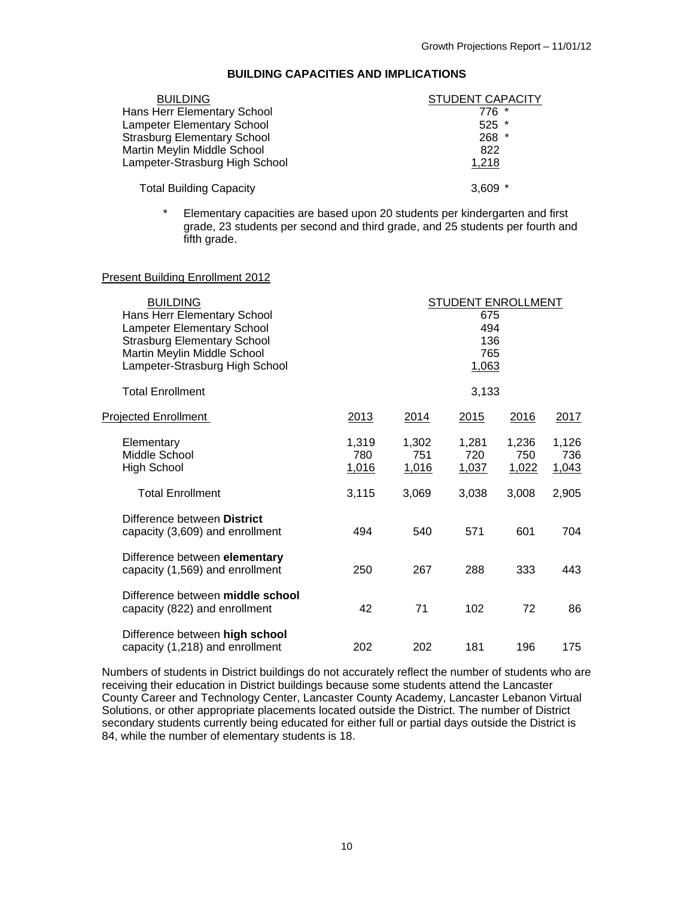#### **BUILDING CAPACITIES AND IMPLICATIONS**

| <b>BUILDING</b>                    | <b>STUDENT CAPACITY</b> |
|------------------------------------|-------------------------|
| Hans Herr Elementary School        | $776*$                  |
| <b>Lampeter Elementary School</b>  | $525$ *                 |
| <b>Strasburg Elementary School</b> | 268 *                   |
| Martin Meylin Middle School        | 822                     |
| Lampeter-Strasburg High School     | 1,218                   |
| <b>Total Building Capacity</b>     | 3.609                   |

\* Elementary capacities are based upon 20 students per kindergarten and first grade, 23 students per second and third grade, and 25 students per fourth and fifth grade.

#### Present Building Enrollment 2012

| <b>BUILDING</b><br>Hans Herr Elementary School<br>Lampeter Elementary School<br><b>Strasburg Elementary School</b><br>Martin Meylin Middle School<br>Lampeter-Strasburg High School | STUDENT ENROLLMENT<br>675<br>494<br>136<br>765<br>1,063 |                       |                              |                       |                       |
|-------------------------------------------------------------------------------------------------------------------------------------------------------------------------------------|---------------------------------------------------------|-----------------------|------------------------------|-----------------------|-----------------------|
| <b>Total Enrollment</b>                                                                                                                                                             |                                                         |                       | 3,133                        |                       |                       |
| <b>Projected Enrollment</b>                                                                                                                                                         | 2013                                                    | 2014                  | 2015                         | 2016                  | 2017                  |
| Elementary<br>Middle School<br><b>High School</b>                                                                                                                                   | 1,319<br>780<br>1,016                                   | 1,302<br>751<br>1,016 | 1,281<br>720<br><u>1,037</u> | 1,236<br>750<br>1,022 | 1,126<br>736<br>1,043 |
| <b>Total Enrollment</b>                                                                                                                                                             | 3,115                                                   | 3,069                 | 3,038                        | 3,008                 | 2,905                 |
| Difference between District<br>capacity (3,609) and enrollment                                                                                                                      | 494                                                     | 540                   | 571                          | 601                   | 704                   |
| Difference between elementary<br>capacity (1,569) and enrollment                                                                                                                    | 250                                                     | 267                   | 288                          | 333                   | 443                   |
| Difference between middle school<br>capacity (822) and enrollment                                                                                                                   | 42                                                      | 71                    | 102                          | 72                    | 86                    |
| Difference between high school<br>capacity (1,218) and enrollment                                                                                                                   | 202                                                     | 202                   | 181                          | 196                   | 175                   |

Numbers of students in District buildings do not accurately reflect the number of students who are receiving their education in District buildings because some students attend the Lancaster County Career and Technology Center, Lancaster County Academy, Lancaster Lebanon Virtual Solutions, or other appropriate placements located outside the District. The number of District secondary students currently being educated for either full or partial days outside the District is 84, while the number of elementary students is 18.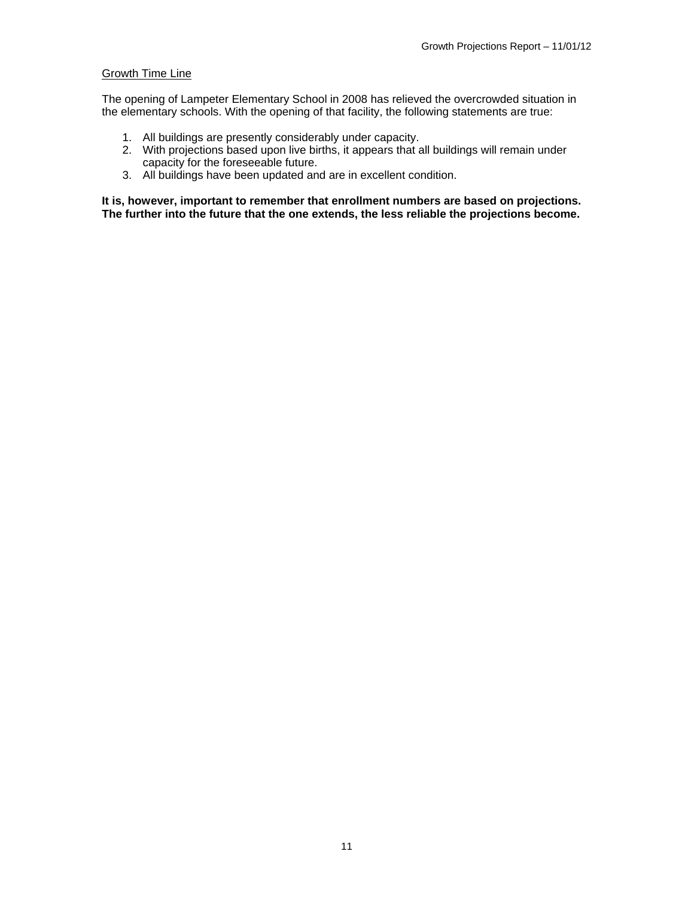#### Growth Time Line

The opening of Lampeter Elementary School in 2008 has relieved the overcrowded situation in the elementary schools. With the opening of that facility, the following statements are true:

- 1. All buildings are presently considerably under capacity.
- 2. With projections based upon live births, it appears that all buildings will remain under capacity for the foreseeable future.
- 3. All buildings have been updated and are in excellent condition.

**It is, however, important to remember that enrollment numbers are based on projections. The further into the future that the one extends, the less reliable the projections become.**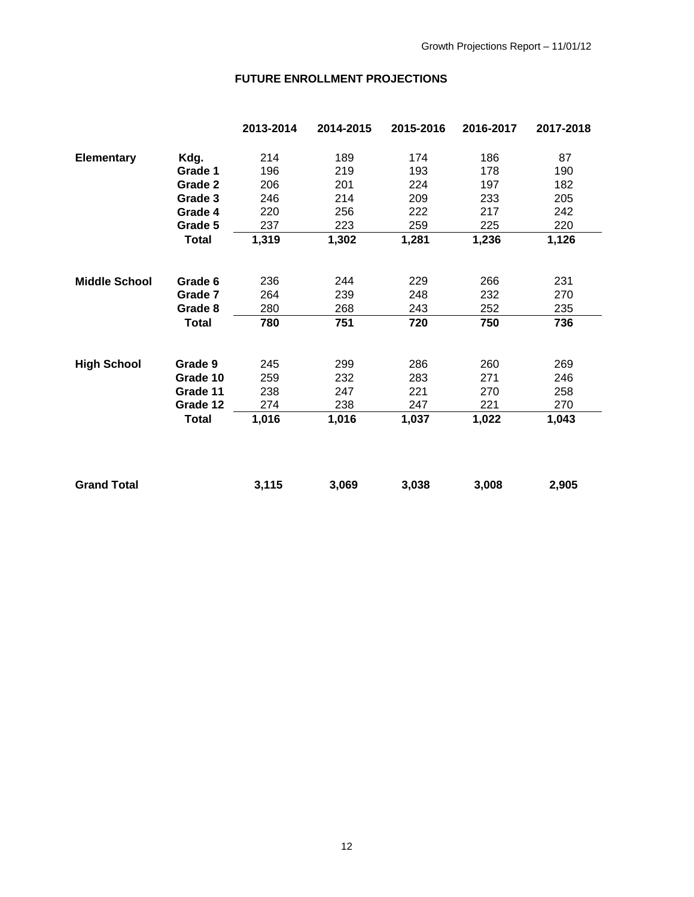# **FUTURE ENROLLMENT PROJECTIONS**

|                      |              | 2013-2014 | 2014-2015 | 2015-2016 | 2016-2017 | 2017-2018 |
|----------------------|--------------|-----------|-----------|-----------|-----------|-----------|
| <b>Elementary</b>    | Kdg.         | 214       | 189       | 174       | 186       | 87        |
|                      | Grade 1      | 196       | 219       | 193       | 178       | 190       |
|                      | Grade 2      | 206       | 201       | 224       | 197       | 182       |
|                      | Grade 3      | 246       | 214       | 209       | 233       | 205       |
|                      | Grade 4      | 220       | 256       | 222       | 217       | 242       |
|                      | Grade 5      | 237       | 223       | 259       | 225       | 220       |
|                      | <b>Total</b> | 1,319     | 1,302     | 1,281     | 1,236     | 1,126     |
| <b>Middle School</b> | Grade 6      | 236       | 244       | 229       | 266       | 231       |
|                      | Grade 7      | 264       | 239       | 248       | 232       | 270       |
|                      | Grade 8      | 280       | 268       | 243       | 252       | 235       |
|                      | <b>Total</b> | 780       | 751       | 720       | 750       | 736       |
| <b>High School</b>   | Grade 9      | 245       | 299       | 286       | 260       | 269       |
|                      | Grade 10     | 259       | 232       | 283       | 271       | 246       |
|                      | Grade 11     | 238       | 247       | 221       | 270       | 258       |
|                      | Grade 12     | 274       | 238       | 247       | 221       | 270       |
|                      |              |           |           |           |           |           |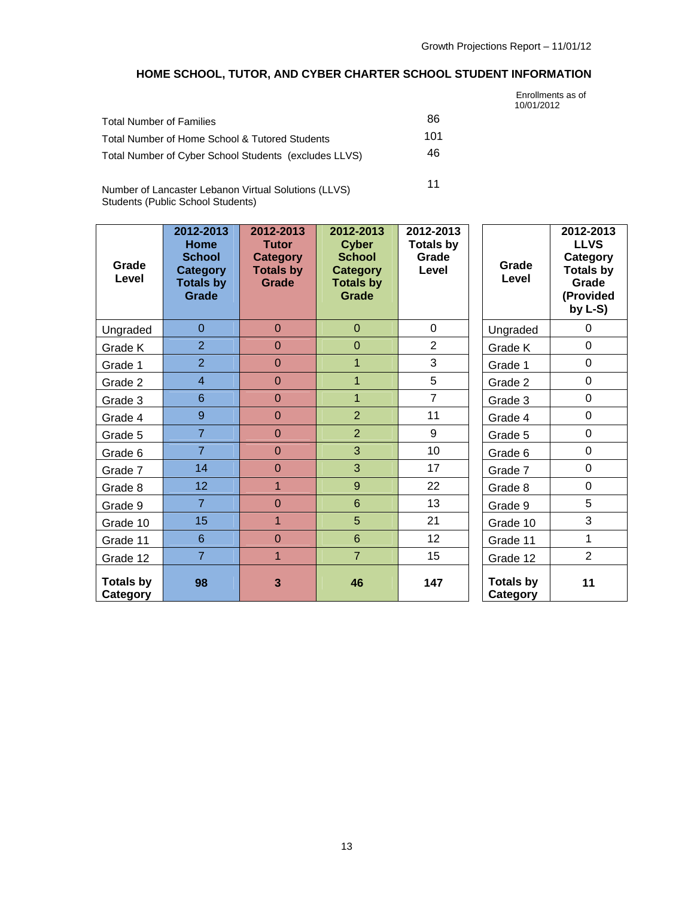# **HOME SCHOOL, TUTOR, AND CYBER CHARTER SCHOOL STUDENT INFORMATION**

|                                                       |     | Enrollments as of<br>10/01/2012 |
|-------------------------------------------------------|-----|---------------------------------|
| <b>Total Number of Families</b>                       | 86  |                                 |
| Total Number of Home School & Tutored Students        | 101 |                                 |
| Total Number of Cyber School Students (excludes LLVS) | 46  |                                 |
| Number of Longester Lebense Virtual Colutions (LLVC)  | 11  |                                 |

Number of Lancaster Lebanon Virtual Solutions (LLVS) Students (Public School Students)

| Grade<br>Level               | 2012-2013<br><b>Home</b><br><b>School</b><br><b>Category</b><br><b>Totals by</b><br>Grade | 2012-2013<br><b>Tutor</b><br><b>Category</b><br><b>Totals by</b><br>Grade | 2012-2013<br><b>Cyber</b><br><b>School</b><br><b>Category</b><br><b>Totals by</b><br>Grade | 2012-2013<br><b>Totals by</b><br>Grade<br>Level | Grade<br>Level               | 2012-2013<br><b>LLVS</b><br>Category<br><b>Totals by</b><br>Grade<br>(Provided<br>by $L-S$ ) |
|------------------------------|-------------------------------------------------------------------------------------------|---------------------------------------------------------------------------|--------------------------------------------------------------------------------------------|-------------------------------------------------|------------------------------|----------------------------------------------------------------------------------------------|
| Ungraded                     | $\overline{0}$                                                                            | $\Omega$                                                                  | $\overline{0}$                                                                             | $\Omega$                                        | Ungraded                     | $\Omega$                                                                                     |
| Grade K                      | $\overline{2}$                                                                            | $\overline{0}$                                                            | $\overline{0}$                                                                             | $\overline{2}$                                  | Grade K                      | $\mathbf 0$                                                                                  |
| Grade 1                      | $\overline{2}$                                                                            | $\overline{0}$                                                            | $\mathbf{1}$                                                                               | 3                                               | Grade 1                      | $\mathbf 0$                                                                                  |
| Grade 2                      | $\overline{4}$                                                                            | $\overline{0}$                                                            | $\mathbf{1}$                                                                               | 5                                               | Grade 2                      | $\mathbf 0$                                                                                  |
| Grade 3                      | 6                                                                                         | $\overline{0}$                                                            | $\mathbf{1}$                                                                               | $\overline{7}$                                  | Grade 3                      | $\mathbf 0$                                                                                  |
| Grade 4                      | 9                                                                                         | $\overline{0}$                                                            | $\overline{2}$                                                                             | 11                                              | Grade 4                      | $\mathbf 0$                                                                                  |
| Grade 5                      | $\overline{7}$                                                                            | $\overline{0}$                                                            | $\overline{2}$                                                                             | 9                                               | Grade 5                      | $\mathbf 0$                                                                                  |
| Grade 6                      | $\overline{7}$                                                                            | $\mathbf 0$                                                               | 3                                                                                          | 10                                              | Grade 6                      | $\mathbf 0$                                                                                  |
| Grade 7                      | 14                                                                                        | $\overline{0}$                                                            | 3                                                                                          | 17                                              | Grade 7                      | $\mathbf 0$                                                                                  |
| Grade 8                      | 12 <sub>2</sub>                                                                           | $\mathbf{1}$                                                              | 9                                                                                          | 22                                              | Grade 8                      | $\mathbf 0$                                                                                  |
| Grade 9                      | $\overline{7}$                                                                            | $\mathbf 0$                                                               | $6\phantom{a}$                                                                             | 13                                              | Grade 9                      | 5                                                                                            |
| Grade 10                     | 15                                                                                        | $\mathbf{1}$                                                              | 5                                                                                          | 21                                              | Grade 10                     | 3                                                                                            |
| Grade 11                     | $6\phantom{1}$                                                                            | $\overline{0}$                                                            | $6\phantom{a}$                                                                             | 12 <sub>2</sub>                                 | Grade 11                     | 1                                                                                            |
| Grade 12                     | $\overline{7}$                                                                            | $\overline{1}$                                                            | $\overline{7}$                                                                             | 15                                              | Grade 12                     | $\overline{2}$                                                                               |
| <b>Totals by</b><br>Category | 98                                                                                        | 3                                                                         | 46                                                                                         | 147                                             | <b>Totals by</b><br>Category | 11                                                                                           |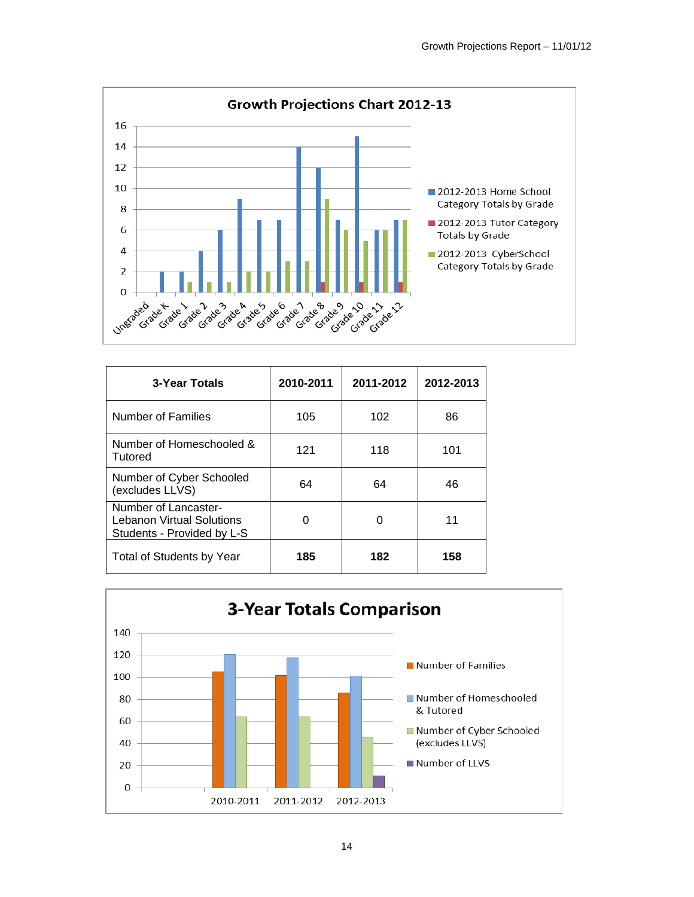

| 3-Year Totals                                                                          | 2010-2011 | 2011-2012 | 2012-2013 |
|----------------------------------------------------------------------------------------|-----------|-----------|-----------|
| Number of Families                                                                     | 105       | 102       | 86        |
| Number of Homeschooled &<br>Tutored                                                    | 121       | 118       | 101       |
| Number of Cyber Schooled<br>(excludes LLVS)                                            | 64        | 64        | 46        |
| Number of Lancaster-<br><b>Lebanon Virtual Solutions</b><br>Students - Provided by L-S | 0         | 0         | 11        |
| Total of Students by Year                                                              | 185       | 182       | 158       |

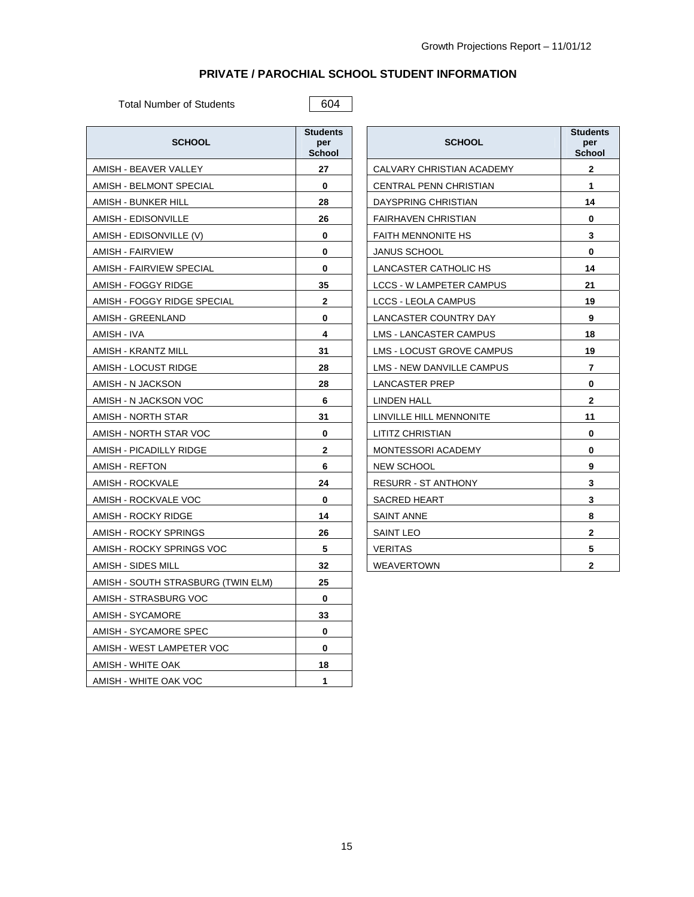### **PRIVATE / PAROCHIAL SCHOOL STUDENT INFORMATION**

Total Number of Students 604

| <b>SCHOOL</b>                      | <b>Students</b><br>per<br>School | <b>SCHOOL</b>              | Stude<br>per<br>Scho |
|------------------------------------|----------------------------------|----------------------------|----------------------|
| AMISH - BEAVER VALLEY              | 27                               | CALVARY CHRISTIAN ACADEMY  | $\mathbf{2}$         |
| AMISH - BELMONT SPECIAL            | 0                                | CENTRAL PENN CHRISTIAN     | 1                    |
| AMISH - BUNKER HILL                | 28                               | DAYSPRING CHRISTIAN        | 14                   |
| AMISH - EDISONVILLE                | 26                               | <b>FAIRHAVEN CHRISTIAN</b> | 0                    |
| AMISH - EDISONVILLE (V)            | 0                                | <b>FAITH MENNONITE HS</b>  | 3                    |
| AMISH - FAIRVIEW                   | 0                                | <b>JANUS SCHOOL</b>        | 0                    |
| AMISH - FAIRVIEW SPECIAL           | 0                                | LANCASTER CATHOLIC HS      | 14                   |
| AMISH - FOGGY RIDGE                | 35                               | LCCS - W LAMPETER CAMPUS   | 21                   |
| AMISH - FOGGY RIDGE SPECIAL        | $\mathbf{2}$                     | <b>LCCS - LEOLA CAMPUS</b> | 19                   |
| AMISH - GREENLAND                  | 0                                | LANCASTER COUNTRY DAY      | 9                    |
| AMISH - IVA                        | 4                                | LMS - LANCASTER CAMPUS     | 18                   |
| AMISH - KRANTZ MILL                | 31                               | LMS - LOCUST GROVE CAMPUS  | 19                   |
| AMISH - LOCUST RIDGE               | 28                               | LMS - NEW DANVILLE CAMPUS  | $\overline{7}$       |
| AMISH - N JACKSON                  | 28                               | LANCASTER PREP             | 0                    |
| AMISH - N JACKSON VOC              | 6                                | <b>LINDEN HALL</b>         | $\mathbf{2}$         |
| AMISH - NORTH STAR                 | 31                               | LINVILLE HILL MENNONITE    | 11                   |
| AMISH - NORTH STAR VOC             | $\bf{0}$                         | LITITZ CHRISTIAN           | 0                    |
| AMISH - PICADILLY RIDGE            | 2                                | MONTESSORI ACADEMY         | 0                    |
| AMISH - REFTON                     | 6                                | NEW SCHOOL                 | 9                    |
| AMISH - ROCKVALE                   | 24                               | <b>RESURR - ST ANTHONY</b> | 3                    |
| AMISH - ROCKVALE VOC               | $\bf{0}$                         | <b>SACRED HEART</b>        | 3                    |
| AMISH - ROCKY RIDGE                | 14                               | SAINT ANNE                 | 8                    |
| AMISH - ROCKY SPRINGS              | 26                               | SAINT LEO                  | $\mathbf{2}$         |
| AMISH - ROCKY SPRINGS VOC          | 5                                | <b>VERITAS</b>             | 5                    |
| AMISH - SIDES MILL                 | 32                               | <b>WEAVERTOWN</b>          | $\mathbf{2}$         |
| AMISH - SOUTH STRASBURG (TWIN ELM) | 25                               |                            |                      |
| AMISH - STRASBURG VOC              | $\bf{0}$                         |                            |                      |
| AMISH - SYCAMORE                   | 33                               |                            |                      |
| AMISH - SYCAMORE SPEC              | $\bf{0}$                         |                            |                      |
| AMISH - WEST LAMPETER VOC          | 0                                |                            |                      |
| AMISH - WHITE OAK                  | 18                               |                            |                      |
| AMISH - WHITE OAK VOC              | $\mathbf{1}$                     |                            |                      |

| <b>SCHOOL</b>                    | <b>Students</b><br>per<br><b>School</b> |
|----------------------------------|-----------------------------------------|
| CALVARY CHRISTIAN ACADEMY        | $\mathbf{2}$                            |
| CENTRAL PENN CHRISTIAN           | 1                                       |
| DAYSPRING CHRISTIAN              | 14                                      |
| <b>FAIRHAVEN CHRISTIAN</b>       | 0                                       |
| <b>FAITH MENNONITE HS</b>        | 3                                       |
| <b>JANUS SCHOOL</b>              | 0                                       |
| LANCASTER CATHOLIC HS            | 14                                      |
| <b>LCCS - W LAMPETER CAMPUS</b>  | 21                                      |
| <b>LCCS - LEOLA CAMPUS</b>       | 19                                      |
| LANCASTER COUNTRY DAY            | 9                                       |
| <b>LMS - LANCASTER CAMPUS</b>    | 18                                      |
| <b>LMS - LOCUST GROVE CAMPUS</b> | 19                                      |
| <b>LMS - NEW DANVILLE CAMPUS</b> | 7                                       |
| LANCASTER PREP                   | 0                                       |
| <b>LINDEN HALL</b>               | 2                                       |
| LINVILLE HILL MENNONITE          | 11                                      |
| <b>LITITZ CHRISTIAN</b>          | 0                                       |
| <b>MONTESSORI ACADEMY</b>        | 0                                       |
| <b>NEW SCHOOL</b>                | 9                                       |
| <b>RESURR - ST ANTHONY</b>       | 3                                       |
| <b>SACRED HEART</b>              | 3                                       |
| <b>SAINT ANNE</b>                | 8                                       |
| <b>SAINT LEO</b>                 | $\overline{2}$                          |
| <b>VERITAS</b>                   | 5                                       |
| <b>WEAVERTOWN</b>                | $\overline{2}$                          |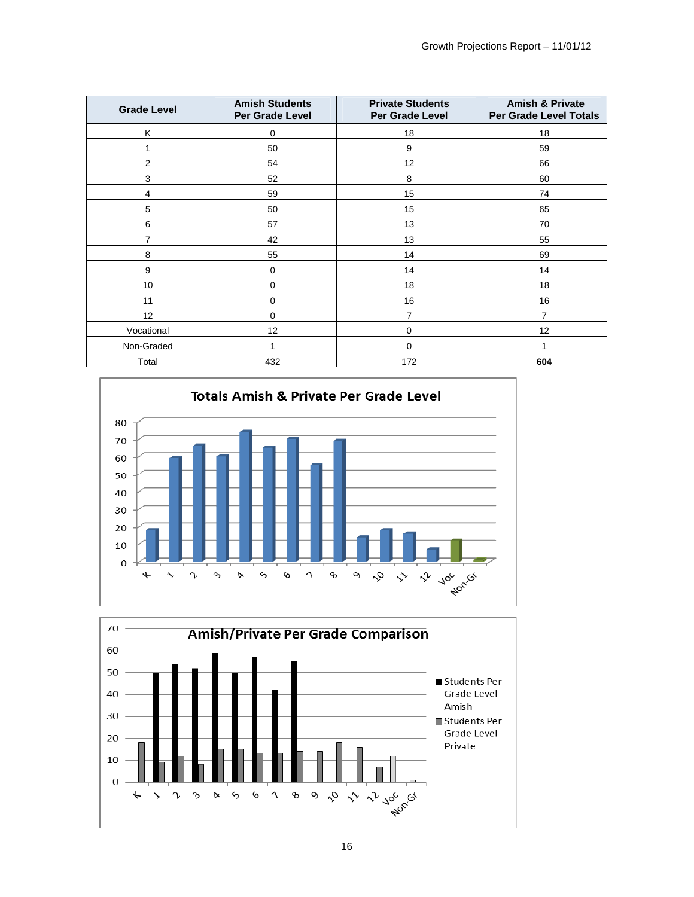| <b>Grade Level</b> | <b>Amish Students</b><br>Per Grade Level | <b>Private Students</b><br>Per Grade Level | <b>Amish &amp; Private</b><br><b>Per Grade Level Totals</b> |
|--------------------|------------------------------------------|--------------------------------------------|-------------------------------------------------------------|
| K                  | $\mathbf 0$                              | 18                                         | 18                                                          |
|                    | 50                                       | 9                                          | 59                                                          |
| $\mathbf{2}$       | 54                                       | 12                                         | 66                                                          |
| 3                  | 52                                       | 8                                          | 60                                                          |
| 4                  | 59                                       | 15                                         | 74                                                          |
| 5                  | 50                                       | 15                                         | 65                                                          |
| 6                  | 57                                       | 13                                         | 70                                                          |
| $\overline{7}$     | 42                                       | 13                                         | 55                                                          |
| 8                  | 55                                       | 14                                         | 69                                                          |
| 9                  | $\mathbf 0$                              | 14                                         | 14                                                          |
| 10                 | $\mathbf 0$                              | 18                                         | 18                                                          |
| 11                 | $\mathbf 0$                              | 16                                         | 16                                                          |
| 12                 | $\mathbf 0$                              | 7                                          | $\overline{7}$                                              |
| Vocational         | 12                                       | 0                                          | 12                                                          |
| Non-Graded         | 1                                        | $\mathbf 0$                                | 4                                                           |
| Total              | 432                                      | 172                                        | 604                                                         |



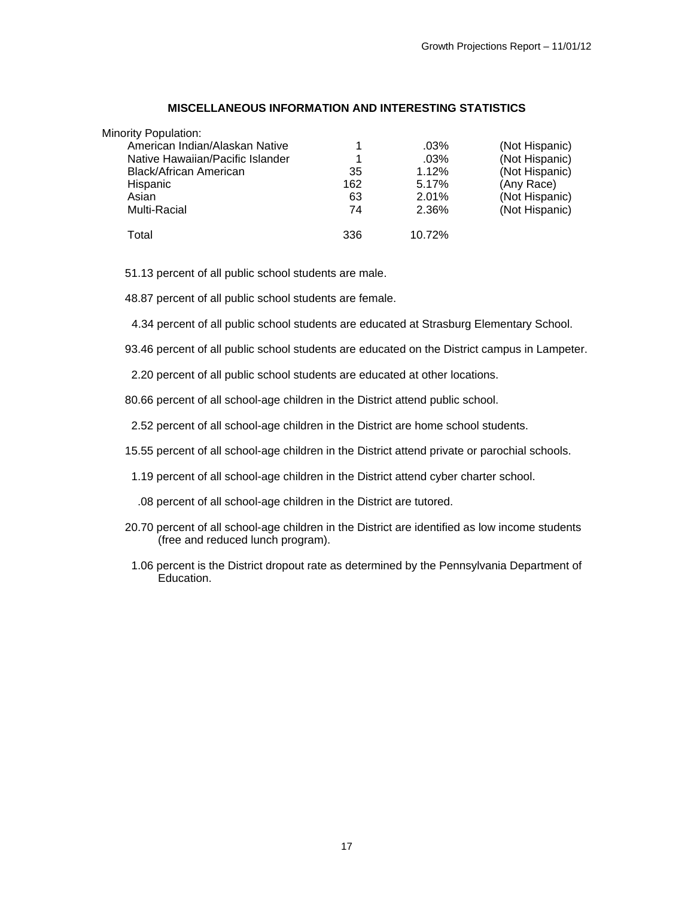#### **MISCELLANEOUS INFORMATION AND INTERESTING STATISTICS**

| Minority Population:             |     |         |                |
|----------------------------------|-----|---------|----------------|
| American Indian/Alaskan Native   |     | $.03\%$ | (Not Hispanic) |
| Native Hawaiian/Pacific Islander |     | $.03\%$ | (Not Hispanic) |
| <b>Black/African American</b>    | 35  | 1.12%   | (Not Hispanic) |
| Hispanic                         | 162 | 5.17%   | (Any Race)     |
| Asian                            | 63  | 2.01%   | (Not Hispanic) |
| Multi-Racial                     | 74  | 2.36%   | (Not Hispanic) |
| Total                            | 336 | 10.72%  |                |

51.13 percent of all public school students are male.

48.87 percent of all public school students are female.

4.34 percent of all public school students are educated at Strasburg Elementary School.

93.46 percent of all public school students are educated on the District campus in Lampeter.

2.20 percent of all public school students are educated at other locations.

80.66 percent of all school-age children in the District attend public school.

2.52 percent of all school-age children in the District are home school students.

15.55 percent of all school-age children in the District attend private or parochial schools.

1.19 percent of all school-age children in the District attend cyber charter school.

.08 percent of all school-age children in the District are tutored.

- 20.70 percent of all school-age children in the District are identified as low income students (free and reduced lunch program).
- 1.06 percent is the District dropout rate as determined by the Pennsylvania Department of Education.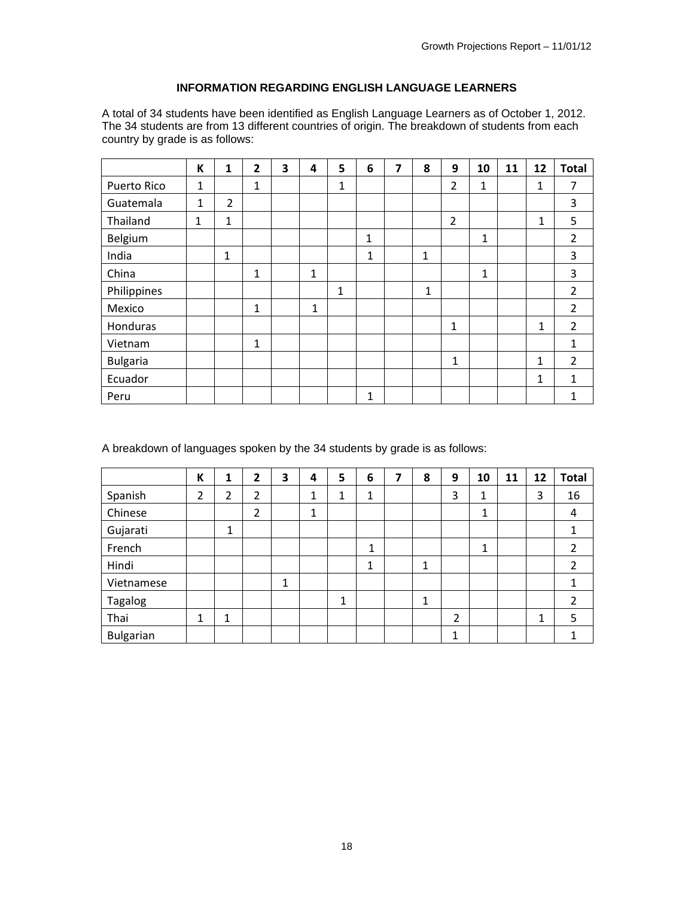## **INFORMATION REGARDING ENGLISH LANGUAGE LEARNERS**

A total of 34 students have been identified as English Language Learners as of October 1, 2012. The 34 students are from 13 different countries of origin. The breakdown of students from each country by grade is as follows:

|                 | К | 1              | $\overline{2}$ | 3 | 4            | 5           | 6            | 7 | 8            | 9              | 10           | 11 | 12           | <b>Total</b>   |
|-----------------|---|----------------|----------------|---|--------------|-------------|--------------|---|--------------|----------------|--------------|----|--------------|----------------|
| Puerto Rico     | 1 |                | 1              |   |              | $\mathbf 1$ |              |   |              | $\overline{2}$ | $\mathbf{1}$ |    | 1            | 7              |
| Guatemala       | 1 | $\overline{2}$ |                |   |              |             |              |   |              |                |              |    |              | 3              |
| Thailand        | 1 | 1              |                |   |              |             |              |   |              | $\overline{2}$ |              |    | 1            | 5              |
| Belgium         |   |                |                |   |              |             | $\mathbf{1}$ |   |              |                | 1            |    |              | $\overline{2}$ |
| India           |   | $\mathbf{1}$   |                |   |              |             | 1            |   | $\mathbf{1}$ |                |              |    |              | 3              |
| China           |   |                | 1              |   | $\mathbf{1}$ |             |              |   |              |                | 1            |    |              | 3              |
| Philippines     |   |                |                |   |              | 1           |              |   | $\mathbf{1}$ |                |              |    |              | $\overline{2}$ |
| Mexico          |   |                | 1              |   | 1            |             |              |   |              |                |              |    |              | $\overline{2}$ |
| Honduras        |   |                |                |   |              |             |              |   |              | $\mathbf{1}$   |              |    | $\mathbf{1}$ | $\overline{2}$ |
| Vietnam         |   |                | 1              |   |              |             |              |   |              |                |              |    |              | 1              |
| <b>Bulgaria</b> |   |                |                |   |              |             |              |   |              | 1              |              |    | 1            | $\overline{2}$ |
| Ecuador         |   |                |                |   |              |             |              |   |              |                |              |    | 1            | $\mathbf{1}$   |
| Peru            |   |                |                |   |              |             | 1            |   |              |                |              |    |              | 1              |

A breakdown of languages spoken by the 34 students by grade is as follows:

|                  | К | 1 | $\overline{2}$ | 3 | 4 | 5            | 6 | 7 | 8 | 9 | 10 | 11 | 12 | <b>Total</b>   |
|------------------|---|---|----------------|---|---|--------------|---|---|---|---|----|----|----|----------------|
| Spanish          | 2 | 2 | 2              |   | 1 | 1            | 1 |   |   | 3 | 1  |    | 3  | 16             |
| Chinese          |   |   | 2              |   | 1 |              |   |   |   |   | 1  |    |    | 4              |
| Gujarati         |   | 1 |                |   |   |              |   |   |   |   |    |    |    |                |
| French           |   |   |                |   |   |              | 1 |   |   |   | 1  |    |    | 2              |
| Hindi            |   |   |                |   |   |              | 1 |   | 1 |   |    |    |    | 2              |
| Vietnamese       |   |   |                | 1 |   |              |   |   |   |   |    |    |    |                |
| Tagalog          |   |   |                |   |   | $\mathbf{1}$ |   |   | 1 |   |    |    |    | $\overline{2}$ |
| Thai             | 1 | 1 |                |   |   |              |   |   |   | 2 |    |    | 1  | 5              |
| <b>Bulgarian</b> |   |   |                |   |   |              |   |   |   | 1 |    |    |    |                |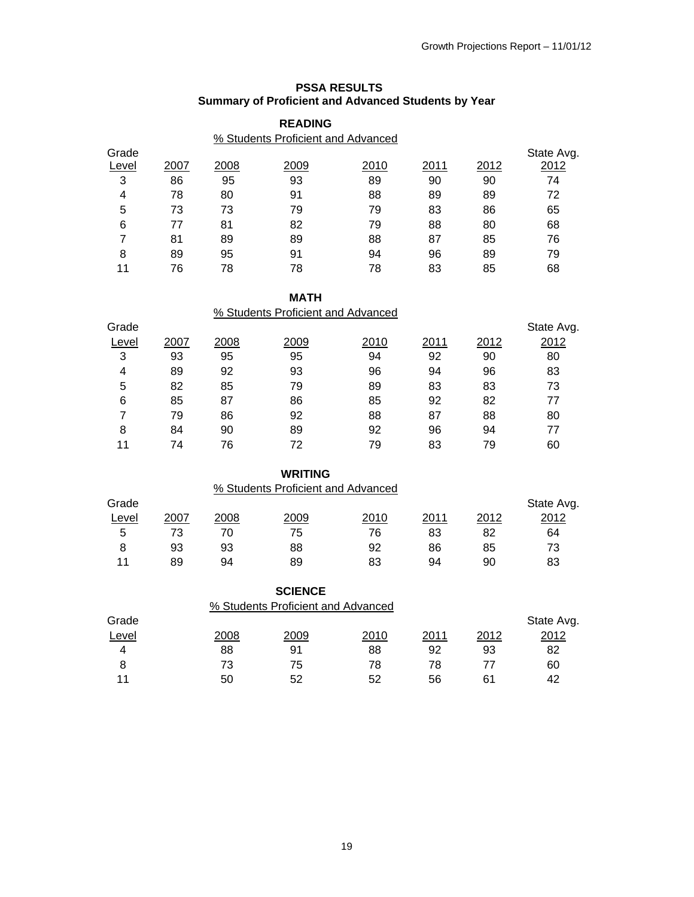#### **PSSA RESULTS Summary of Proficient and Advanced Students by Year**

|       |      |      | <b>READING</b>                     |      |      |      |            |
|-------|------|------|------------------------------------|------|------|------|------------|
|       |      |      | % Students Proficient and Advanced |      |      |      |            |
| Grade |      |      |                                    |      |      |      | State Avg. |
| Level | 2007 | 2008 | 2009                               | 2010 | 2011 | 2012 | 2012       |
| 3     | 86   | 95   | 93                                 | 89   | 90   | 90   | 74         |
| 4     | 78   | 80   | 91                                 | 88   | 89   | 89   | 72         |
| 5     | 73   | 73   | 79                                 | 79   | 83   | 86   | 65         |
| 6     | 77   | 81   | 82                                 | 79   | 88   | 80   | 68         |
| 7     | 81   | 89   | 89                                 | 88   | 87   | 85   | 76         |
| 8     | 89   | 95   | 91                                 | 94   | 96   | 89   | 79         |
| 11    | 76   | 78   | 78                                 | 78   | 83   | 85   | 68         |

#### **MATH**

|       |      |      | % Students Proficient and Advanced |      |      |      |            |
|-------|------|------|------------------------------------|------|------|------|------------|
| Grade |      |      |                                    |      |      |      | State Avg. |
| Level | 2007 | 2008 | 2009                               | 2010 | 2011 | 2012 | 2012       |
| 3     | 93   | 95   | 95                                 | 94   | 92   | 90   | 80         |
| 4     | 89   | 92   | 93                                 | 96   | 94   | 96   | 83         |
| 5     | 82   | 85   | 79                                 | 89   | 83   | 83   | 73         |
| 6     | 85   | 87   | 86                                 | 85   | 92   | 82   | 77         |
| 7     | 79   | 86   | 92                                 | 88   | 87   | 88   | 80         |
| 8     | 84   | 90   | 89                                 | 92   | 96   | 94   | 77         |
| 11    | 74   | 76   | 72                                 | 79   | 83   | 79   | 60         |

## **WRITING**

% Students Proficient and Advanced

| Grade |      |      |      |              |      |      | State Avg. |
|-------|------|------|------|--------------|------|------|------------|
| Level | 2007 | 2008 | 2009 | <u> 2010</u> | 2011 | 2012 | 2012       |
| 5     | 73   |      | 75   | 76           | 83   | 82   | 64         |
| 8     | 93   | 93   | 88   | 92           | 86   | 85   | 73         |
| 11    | 89   | 94   | 89   | 83           | 94   | 90   | 83         |

|       |      | <b>SCIENCE</b>                     |      |      |      |            |
|-------|------|------------------------------------|------|------|------|------------|
|       |      | % Students Proficient and Advanced |      |      |      |            |
| Grade |      |                                    |      |      |      | State Avg. |
| Level | 2008 | 2009                               | 2010 | 2011 | 2012 | 2012       |
|       | 88   | 91                                 | 88   | 92   | 93   | 82         |
| 8     | 73   | 75                                 | 78   | 78   | 77   | 60         |
| 11    | 50   | 52                                 | 52   | 56   | 61   | 42         |